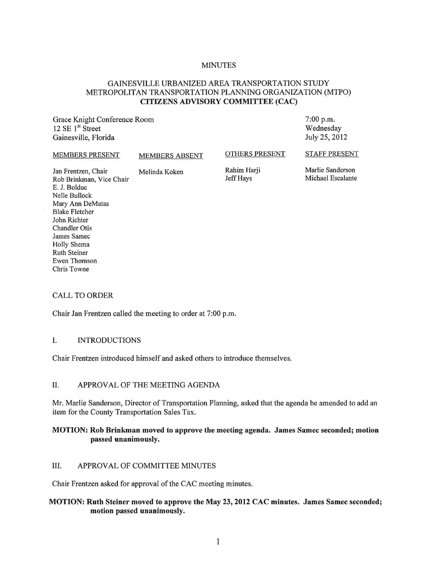#### **MINUTES**

# GAINESVILLE URBANIZED AREA TRANSPORTATION STUDY METROPOLITAN TRANSPORTATION PLANNING ORGANIZATION (MTPO) **CITIZENS ADVISORY COMMITTEE (CAC)**

Grace Knight Conference Room 12 SE 1 st Street Gainesville, Florida

7:00 p.m. Wednesday July 25,2012

#### MEMBERS PRESENT MEMBERS ABSENT Jan Frentzen, Chair Melinda Koken Rob Brinkman, Vice Chair E. 1. Bolduc OTHERS PRESENT Rahim Harji Jeff Hays STAFF PRESENT Marlie Sanderson Michael Escalante

CALL TO ORDER

NelIe BulIock Mary Ann DeMatas Blake Fletcher John Richter Chandler Otis James Samec Holly Shema Ruth Steiner Ewen Thomson Chris Towne

Chair Jan Frentzen called the meeting to order at 7:00 p.m.

#### I. INTRODUCTIONS

Chair Frentzen introduced himself and asked others to introduce themselves.

#### II. APPROVAL OF THE MEETING AGENDA

Mr. Martie Sanderson, Director of Transportation Planning, asked that the agenda be amended to add an item for the County Transportation Sales Tax.

### **MOTION: Rob Brinkman moved to approve the meeting agenda. James Samec seconded; motion passed unanimously.**

#### III. APPROVAL OF COMMITTEE MINUTES

Chair Frentzen asked for approval of the CAC meeting minutes.

### **MOTION: Ruth Steiner moved to approve the May 23, 2012 CAC minutes. James Samec seconded; motion passed unanimously.**